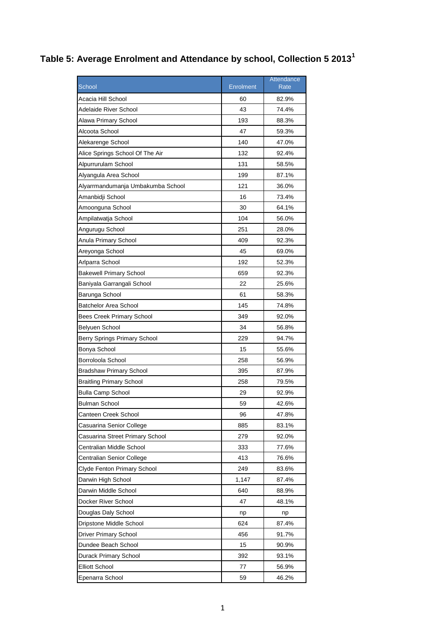## **Table 5: Average Enrolment and Attendance by school, Collection 5 2013<sup>1</sup>**

|                                   |           | Attendance |
|-----------------------------------|-----------|------------|
| <b>School</b>                     | Enrolment | Rate       |
| Acacia Hill School                | 60        | 82.9%      |
| Adelaide River School             | 43        | 74.4%      |
| Alawa Primary School              | 193       | 88.3%      |
| Alcoota School                    | 47        | 59.3%      |
| Alekarenge School                 | 140       | 47.0%      |
| Alice Springs School Of The Air   | 132       | 92.4%      |
| Alpurrurulam School               | 131       | 58.5%      |
| Alyangula Area School             | 199       | 87.1%      |
| Alyarrmandumanja Umbakumba School | 121       | 36.0%      |
| Amanbidji School                  | 16        | 73.4%      |
| Amoonguna School                  | 30        | 64.1%      |
| Ampilatwatja School               | 104       | 56.0%      |
| Angurugu School                   | 251       | 28.0%      |
| Anula Primary School              | 409       | 92.3%      |
| Areyonga School                   | 45        | 69.0%      |
| Arlparra School                   | 192       | 52.3%      |
| <b>Bakewell Primary School</b>    | 659       | 92.3%      |
| Baniyala Garrangali School        | 22        | 25.6%      |
| Barunga School                    | 61        | 58.3%      |
| Batchelor Area School             | 145       | 74.8%      |
| <b>Bees Creek Primary School</b>  | 349       | 92.0%      |
| Belyuen School                    | 34        | 56.8%      |
| Berry Springs Primary School      | 229       | 94.7%      |
| Bonya School                      | 15        | 55.6%      |
| Borroloola School                 | 258       | 56.9%      |
| <b>Bradshaw Primary School</b>    | 395       | 87.9%      |
| Braitling Primary School          | 258       | 79.5%      |
| <b>Bulla Camp School</b>          | 29        | 92.9%      |
| Bulman School                     | 59        | 42.6%      |
| Canteen Creek School              | 96        | 47.8%      |
| Casuarina Senior College          | 885       | 83.1%      |
| Casuarina Street Primary School   | 279       | 92.0%      |
| Centralian Middle School          | 333       | 77.6%      |
| Centralian Senior College         | 413       | 76.6%      |
| Clyde Fenton Primary School       | 249       | 83.6%      |
| Darwin High School                | 1,147     | 87.4%      |
| Darwin Middle School              | 640       | 88.9%      |
| Docker River School               | 47        | 48.1%      |
| Douglas Daly School               | np        | np         |
| Dripstone Middle School           | 624       | 87.4%      |
| Driver Primary School             | 456       | 91.7%      |
| Dundee Beach School               | 15        | 90.9%      |
| Durack Primary School             | 392       | 93.1%      |
| <b>Elliott School</b>             | 77        | 56.9%      |
| Epenarra School                   | 59        | 46.2%      |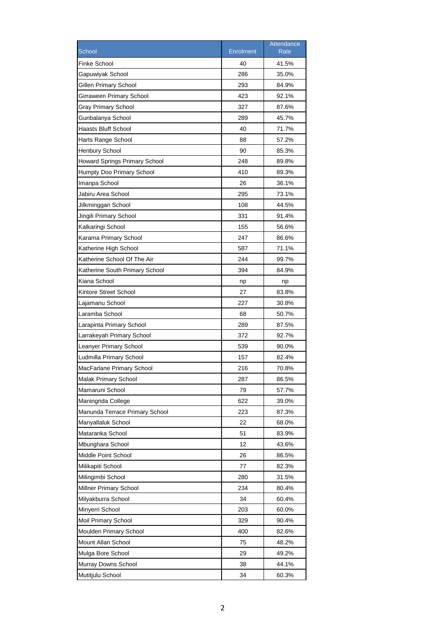| <b>Finke School</b><br>40<br>41.5%<br>Gapuwiyak School<br>286<br>35.0%<br>Gillen Primary School<br>293<br>84.9%<br>423<br>92.1%<br>Girraween Primary School<br>Gray Primary School<br>327<br>87.6%<br>Gunbalanya School<br>289<br>45.7%<br>40<br>Haasts Bluff School<br>71.7%<br>88<br>57.2%<br>Harts Range School<br><b>Henbury School</b><br>90<br>85.3%<br><b>Howard Springs Primary School</b><br>248<br>89.8%<br>89.3%<br>Humpty Doo Primary School<br>410<br>26<br>36.1%<br>Imanpa School<br>Jabiru Area School<br>295<br>73.1%<br>108<br>44.5%<br>Jilkminggan School<br>Jingili Primary School<br>331<br>91.4%<br>Kalkaringi School<br>155<br>56.6%<br>247<br>Karama Primary School<br>86.6%<br>587<br>71.1%<br>Katherine High School<br>Katherine School Of The Air<br>244<br>99.7%<br>394<br>Katherine South Primary School<br>84.9%<br>Kiana School<br>np<br>np<br>Kintore Street School<br>27<br>83.8%<br>227<br>30.8%<br>Lajamanu School<br>Laramba School<br>68<br>50.7%<br>Larapinta Primary School<br>289<br>87.5%<br>372<br>Larrakeyah Primary School<br>92.7%<br>539<br>Leanyer Primary School<br>90.0%<br>Ludmilla Primary School<br>157<br>82.4%<br>MacFarlane Primary School<br>216<br>70.8%<br>Malak Primary School<br>86.5%<br>287<br>Mamaruni School<br>79<br>57.7%<br>Maningrida College<br>622<br>39.0%<br>Manunda Terrace Primary School<br>223<br>87.3%<br>Manyallaluk School<br>22<br>68.0%<br>Mataranka School<br>51<br>83.9%<br>Mbunghara School<br>12<br>43.6%<br>Middle Point School<br>26<br>86.5%<br>Milikapiti School<br>77<br>82.3%<br>Milingimbi School<br>280<br>31.5%<br>Millner Primary School<br>234<br>80.4%<br>Milyakburra School<br>34<br>60.4%<br>203<br>Minyerri School<br>60.0%<br>Moil Primary School<br>329<br>90.4%<br>Moulden Primary School<br>400<br>82.6%<br>Mount Allan School<br>75<br>48.2%<br>Mulga Bore School<br>29<br>49.2%<br>Murray Downs School<br>38<br>44.1% |                  |                  | Attendance  |
|--------------------------------------------------------------------------------------------------------------------------------------------------------------------------------------------------------------------------------------------------------------------------------------------------------------------------------------------------------------------------------------------------------------------------------------------------------------------------------------------------------------------------------------------------------------------------------------------------------------------------------------------------------------------------------------------------------------------------------------------------------------------------------------------------------------------------------------------------------------------------------------------------------------------------------------------------------------------------------------------------------------------------------------------------------------------------------------------------------------------------------------------------------------------------------------------------------------------------------------------------------------------------------------------------------------------------------------------------------------------------------------------------------------------------------------------------------------------------------------------------------------------------------------------------------------------------------------------------------------------------------------------------------------------------------------------------------------------------------------------------------------------------------------------------------------------------------------------------------------------------------------------------------------------------------|------------------|------------------|-------------|
|                                                                                                                                                                                                                                                                                                                                                                                                                                                                                                                                                                                                                                                                                                                                                                                                                                                                                                                                                                                                                                                                                                                                                                                                                                                                                                                                                                                                                                                                                                                                                                                                                                                                                                                                                                                                                                                                                                                                | School           | <b>Enrolment</b> | <b>Rate</b> |
|                                                                                                                                                                                                                                                                                                                                                                                                                                                                                                                                                                                                                                                                                                                                                                                                                                                                                                                                                                                                                                                                                                                                                                                                                                                                                                                                                                                                                                                                                                                                                                                                                                                                                                                                                                                                                                                                                                                                |                  |                  |             |
|                                                                                                                                                                                                                                                                                                                                                                                                                                                                                                                                                                                                                                                                                                                                                                                                                                                                                                                                                                                                                                                                                                                                                                                                                                                                                                                                                                                                                                                                                                                                                                                                                                                                                                                                                                                                                                                                                                                                |                  |                  |             |
|                                                                                                                                                                                                                                                                                                                                                                                                                                                                                                                                                                                                                                                                                                                                                                                                                                                                                                                                                                                                                                                                                                                                                                                                                                                                                                                                                                                                                                                                                                                                                                                                                                                                                                                                                                                                                                                                                                                                |                  |                  |             |
|                                                                                                                                                                                                                                                                                                                                                                                                                                                                                                                                                                                                                                                                                                                                                                                                                                                                                                                                                                                                                                                                                                                                                                                                                                                                                                                                                                                                                                                                                                                                                                                                                                                                                                                                                                                                                                                                                                                                |                  |                  |             |
|                                                                                                                                                                                                                                                                                                                                                                                                                                                                                                                                                                                                                                                                                                                                                                                                                                                                                                                                                                                                                                                                                                                                                                                                                                                                                                                                                                                                                                                                                                                                                                                                                                                                                                                                                                                                                                                                                                                                |                  |                  |             |
|                                                                                                                                                                                                                                                                                                                                                                                                                                                                                                                                                                                                                                                                                                                                                                                                                                                                                                                                                                                                                                                                                                                                                                                                                                                                                                                                                                                                                                                                                                                                                                                                                                                                                                                                                                                                                                                                                                                                |                  |                  |             |
|                                                                                                                                                                                                                                                                                                                                                                                                                                                                                                                                                                                                                                                                                                                                                                                                                                                                                                                                                                                                                                                                                                                                                                                                                                                                                                                                                                                                                                                                                                                                                                                                                                                                                                                                                                                                                                                                                                                                |                  |                  |             |
|                                                                                                                                                                                                                                                                                                                                                                                                                                                                                                                                                                                                                                                                                                                                                                                                                                                                                                                                                                                                                                                                                                                                                                                                                                                                                                                                                                                                                                                                                                                                                                                                                                                                                                                                                                                                                                                                                                                                |                  |                  |             |
|                                                                                                                                                                                                                                                                                                                                                                                                                                                                                                                                                                                                                                                                                                                                                                                                                                                                                                                                                                                                                                                                                                                                                                                                                                                                                                                                                                                                                                                                                                                                                                                                                                                                                                                                                                                                                                                                                                                                |                  |                  |             |
|                                                                                                                                                                                                                                                                                                                                                                                                                                                                                                                                                                                                                                                                                                                                                                                                                                                                                                                                                                                                                                                                                                                                                                                                                                                                                                                                                                                                                                                                                                                                                                                                                                                                                                                                                                                                                                                                                                                                |                  |                  |             |
|                                                                                                                                                                                                                                                                                                                                                                                                                                                                                                                                                                                                                                                                                                                                                                                                                                                                                                                                                                                                                                                                                                                                                                                                                                                                                                                                                                                                                                                                                                                                                                                                                                                                                                                                                                                                                                                                                                                                |                  |                  |             |
|                                                                                                                                                                                                                                                                                                                                                                                                                                                                                                                                                                                                                                                                                                                                                                                                                                                                                                                                                                                                                                                                                                                                                                                                                                                                                                                                                                                                                                                                                                                                                                                                                                                                                                                                                                                                                                                                                                                                |                  |                  |             |
|                                                                                                                                                                                                                                                                                                                                                                                                                                                                                                                                                                                                                                                                                                                                                                                                                                                                                                                                                                                                                                                                                                                                                                                                                                                                                                                                                                                                                                                                                                                                                                                                                                                                                                                                                                                                                                                                                                                                |                  |                  |             |
|                                                                                                                                                                                                                                                                                                                                                                                                                                                                                                                                                                                                                                                                                                                                                                                                                                                                                                                                                                                                                                                                                                                                                                                                                                                                                                                                                                                                                                                                                                                                                                                                                                                                                                                                                                                                                                                                                                                                |                  |                  |             |
|                                                                                                                                                                                                                                                                                                                                                                                                                                                                                                                                                                                                                                                                                                                                                                                                                                                                                                                                                                                                                                                                                                                                                                                                                                                                                                                                                                                                                                                                                                                                                                                                                                                                                                                                                                                                                                                                                                                                |                  |                  |             |
|                                                                                                                                                                                                                                                                                                                                                                                                                                                                                                                                                                                                                                                                                                                                                                                                                                                                                                                                                                                                                                                                                                                                                                                                                                                                                                                                                                                                                                                                                                                                                                                                                                                                                                                                                                                                                                                                                                                                |                  |                  |             |
|                                                                                                                                                                                                                                                                                                                                                                                                                                                                                                                                                                                                                                                                                                                                                                                                                                                                                                                                                                                                                                                                                                                                                                                                                                                                                                                                                                                                                                                                                                                                                                                                                                                                                                                                                                                                                                                                                                                                |                  |                  |             |
|                                                                                                                                                                                                                                                                                                                                                                                                                                                                                                                                                                                                                                                                                                                                                                                                                                                                                                                                                                                                                                                                                                                                                                                                                                                                                                                                                                                                                                                                                                                                                                                                                                                                                                                                                                                                                                                                                                                                |                  |                  |             |
|                                                                                                                                                                                                                                                                                                                                                                                                                                                                                                                                                                                                                                                                                                                                                                                                                                                                                                                                                                                                                                                                                                                                                                                                                                                                                                                                                                                                                                                                                                                                                                                                                                                                                                                                                                                                                                                                                                                                |                  |                  |             |
|                                                                                                                                                                                                                                                                                                                                                                                                                                                                                                                                                                                                                                                                                                                                                                                                                                                                                                                                                                                                                                                                                                                                                                                                                                                                                                                                                                                                                                                                                                                                                                                                                                                                                                                                                                                                                                                                                                                                |                  |                  |             |
|                                                                                                                                                                                                                                                                                                                                                                                                                                                                                                                                                                                                                                                                                                                                                                                                                                                                                                                                                                                                                                                                                                                                                                                                                                                                                                                                                                                                                                                                                                                                                                                                                                                                                                                                                                                                                                                                                                                                |                  |                  |             |
|                                                                                                                                                                                                                                                                                                                                                                                                                                                                                                                                                                                                                                                                                                                                                                                                                                                                                                                                                                                                                                                                                                                                                                                                                                                                                                                                                                                                                                                                                                                                                                                                                                                                                                                                                                                                                                                                                                                                |                  |                  |             |
|                                                                                                                                                                                                                                                                                                                                                                                                                                                                                                                                                                                                                                                                                                                                                                                                                                                                                                                                                                                                                                                                                                                                                                                                                                                                                                                                                                                                                                                                                                                                                                                                                                                                                                                                                                                                                                                                                                                                |                  |                  |             |
|                                                                                                                                                                                                                                                                                                                                                                                                                                                                                                                                                                                                                                                                                                                                                                                                                                                                                                                                                                                                                                                                                                                                                                                                                                                                                                                                                                                                                                                                                                                                                                                                                                                                                                                                                                                                                                                                                                                                |                  |                  |             |
|                                                                                                                                                                                                                                                                                                                                                                                                                                                                                                                                                                                                                                                                                                                                                                                                                                                                                                                                                                                                                                                                                                                                                                                                                                                                                                                                                                                                                                                                                                                                                                                                                                                                                                                                                                                                                                                                                                                                |                  |                  |             |
|                                                                                                                                                                                                                                                                                                                                                                                                                                                                                                                                                                                                                                                                                                                                                                                                                                                                                                                                                                                                                                                                                                                                                                                                                                                                                                                                                                                                                                                                                                                                                                                                                                                                                                                                                                                                                                                                                                                                |                  |                  |             |
|                                                                                                                                                                                                                                                                                                                                                                                                                                                                                                                                                                                                                                                                                                                                                                                                                                                                                                                                                                                                                                                                                                                                                                                                                                                                                                                                                                                                                                                                                                                                                                                                                                                                                                                                                                                                                                                                                                                                |                  |                  |             |
|                                                                                                                                                                                                                                                                                                                                                                                                                                                                                                                                                                                                                                                                                                                                                                                                                                                                                                                                                                                                                                                                                                                                                                                                                                                                                                                                                                                                                                                                                                                                                                                                                                                                                                                                                                                                                                                                                                                                |                  |                  |             |
|                                                                                                                                                                                                                                                                                                                                                                                                                                                                                                                                                                                                                                                                                                                                                                                                                                                                                                                                                                                                                                                                                                                                                                                                                                                                                                                                                                                                                                                                                                                                                                                                                                                                                                                                                                                                                                                                                                                                |                  |                  |             |
|                                                                                                                                                                                                                                                                                                                                                                                                                                                                                                                                                                                                                                                                                                                                                                                                                                                                                                                                                                                                                                                                                                                                                                                                                                                                                                                                                                                                                                                                                                                                                                                                                                                                                                                                                                                                                                                                                                                                |                  |                  |             |
|                                                                                                                                                                                                                                                                                                                                                                                                                                                                                                                                                                                                                                                                                                                                                                                                                                                                                                                                                                                                                                                                                                                                                                                                                                                                                                                                                                                                                                                                                                                                                                                                                                                                                                                                                                                                                                                                                                                                |                  |                  |             |
|                                                                                                                                                                                                                                                                                                                                                                                                                                                                                                                                                                                                                                                                                                                                                                                                                                                                                                                                                                                                                                                                                                                                                                                                                                                                                                                                                                                                                                                                                                                                                                                                                                                                                                                                                                                                                                                                                                                                |                  |                  |             |
|                                                                                                                                                                                                                                                                                                                                                                                                                                                                                                                                                                                                                                                                                                                                                                                                                                                                                                                                                                                                                                                                                                                                                                                                                                                                                                                                                                                                                                                                                                                                                                                                                                                                                                                                                                                                                                                                                                                                |                  |                  |             |
|                                                                                                                                                                                                                                                                                                                                                                                                                                                                                                                                                                                                                                                                                                                                                                                                                                                                                                                                                                                                                                                                                                                                                                                                                                                                                                                                                                                                                                                                                                                                                                                                                                                                                                                                                                                                                                                                                                                                |                  |                  |             |
|                                                                                                                                                                                                                                                                                                                                                                                                                                                                                                                                                                                                                                                                                                                                                                                                                                                                                                                                                                                                                                                                                                                                                                                                                                                                                                                                                                                                                                                                                                                                                                                                                                                                                                                                                                                                                                                                                                                                |                  |                  |             |
|                                                                                                                                                                                                                                                                                                                                                                                                                                                                                                                                                                                                                                                                                                                                                                                                                                                                                                                                                                                                                                                                                                                                                                                                                                                                                                                                                                                                                                                                                                                                                                                                                                                                                                                                                                                                                                                                                                                                |                  |                  |             |
|                                                                                                                                                                                                                                                                                                                                                                                                                                                                                                                                                                                                                                                                                                                                                                                                                                                                                                                                                                                                                                                                                                                                                                                                                                                                                                                                                                                                                                                                                                                                                                                                                                                                                                                                                                                                                                                                                                                                |                  |                  |             |
|                                                                                                                                                                                                                                                                                                                                                                                                                                                                                                                                                                                                                                                                                                                                                                                                                                                                                                                                                                                                                                                                                                                                                                                                                                                                                                                                                                                                                                                                                                                                                                                                                                                                                                                                                                                                                                                                                                                                |                  |                  |             |
|                                                                                                                                                                                                                                                                                                                                                                                                                                                                                                                                                                                                                                                                                                                                                                                                                                                                                                                                                                                                                                                                                                                                                                                                                                                                                                                                                                                                                                                                                                                                                                                                                                                                                                                                                                                                                                                                                                                                |                  |                  |             |
|                                                                                                                                                                                                                                                                                                                                                                                                                                                                                                                                                                                                                                                                                                                                                                                                                                                                                                                                                                                                                                                                                                                                                                                                                                                                                                                                                                                                                                                                                                                                                                                                                                                                                                                                                                                                                                                                                                                                |                  |                  |             |
|                                                                                                                                                                                                                                                                                                                                                                                                                                                                                                                                                                                                                                                                                                                                                                                                                                                                                                                                                                                                                                                                                                                                                                                                                                                                                                                                                                                                                                                                                                                                                                                                                                                                                                                                                                                                                                                                                                                                |                  |                  |             |
|                                                                                                                                                                                                                                                                                                                                                                                                                                                                                                                                                                                                                                                                                                                                                                                                                                                                                                                                                                                                                                                                                                                                                                                                                                                                                                                                                                                                                                                                                                                                                                                                                                                                                                                                                                                                                                                                                                                                |                  |                  |             |
|                                                                                                                                                                                                                                                                                                                                                                                                                                                                                                                                                                                                                                                                                                                                                                                                                                                                                                                                                                                                                                                                                                                                                                                                                                                                                                                                                                                                                                                                                                                                                                                                                                                                                                                                                                                                                                                                                                                                |                  |                  |             |
|                                                                                                                                                                                                                                                                                                                                                                                                                                                                                                                                                                                                                                                                                                                                                                                                                                                                                                                                                                                                                                                                                                                                                                                                                                                                                                                                                                                                                                                                                                                                                                                                                                                                                                                                                                                                                                                                                                                                |                  |                  |             |
|                                                                                                                                                                                                                                                                                                                                                                                                                                                                                                                                                                                                                                                                                                                                                                                                                                                                                                                                                                                                                                                                                                                                                                                                                                                                                                                                                                                                                                                                                                                                                                                                                                                                                                                                                                                                                                                                                                                                |                  |                  |             |
|                                                                                                                                                                                                                                                                                                                                                                                                                                                                                                                                                                                                                                                                                                                                                                                                                                                                                                                                                                                                                                                                                                                                                                                                                                                                                                                                                                                                                                                                                                                                                                                                                                                                                                                                                                                                                                                                                                                                |                  |                  |             |
|                                                                                                                                                                                                                                                                                                                                                                                                                                                                                                                                                                                                                                                                                                                                                                                                                                                                                                                                                                                                                                                                                                                                                                                                                                                                                                                                                                                                                                                                                                                                                                                                                                                                                                                                                                                                                                                                                                                                |                  |                  |             |
|                                                                                                                                                                                                                                                                                                                                                                                                                                                                                                                                                                                                                                                                                                                                                                                                                                                                                                                                                                                                                                                                                                                                                                                                                                                                                                                                                                                                                                                                                                                                                                                                                                                                                                                                                                                                                                                                                                                                | Mutitjulu School | 34               | 60.3%       |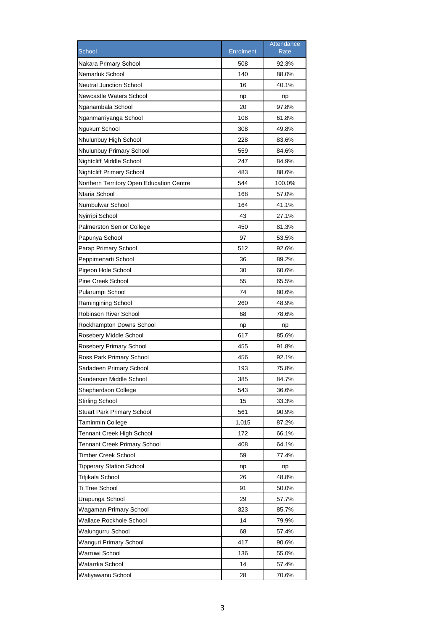|                                          |                  | Attendance |
|------------------------------------------|------------------|------------|
| School                                   | <b>Enrolment</b> | Rate       |
| Nakara Primary School                    | 508              | 92.3%      |
| Nemarluk School                          | 140              | 88.0%      |
| <b>Neutral Junction School</b>           | 16               | 40.1%      |
| <b>Newcastle Waters School</b>           | np               | np         |
| Nganambala School                        | 20               | 97.8%      |
| Nganmarriyanga School                    | 108              | 61.8%      |
| Ngukurr School                           | 308              | 49.8%      |
| Nhulunbuy High School                    | 228              | 83.6%      |
| Nhulunbuy Primary School                 | 559              | 84.6%      |
| Nightcliff Middle School                 | 247              | 84.9%      |
| <b>Nightcliff Primary School</b>         | 483              | 88.6%      |
| Northern Territory Open Education Centre | 544              | 100.0%     |
| Ntaria School                            | 168              | 57.0%      |
| Numbulwar School                         | 164              | 41.1%      |
| Nyirripi School                          | 43               | 27.1%      |
| <b>Palmerston Senior College</b>         | 450              | 81.3%      |
| Papunya School                           | 97               | 53.5%      |
| Parap Primary School                     | 512              | 92.6%      |
| Peppimenarti School                      | 36               | 89.2%      |
| Pigeon Hole School                       | 30               | 60.6%      |
| Pine Creek School                        | 55               | 65.5%      |
| Pularumpi School                         | 74               | 80.6%      |
| Ramingining School                       | 260              | 48.9%      |
| Robinson River School                    | 68               | 78.6%      |
| Rockhampton Downs School                 | np               | np         |
| Rosebery Middle School                   | 617              | 85.6%      |
| <b>Rosebery Primary School</b>           | 455              | 91.8%      |
| Ross Park Primary School                 | 456              | 92.1%      |
| Sadadeen Primary School                  | 193              | 75.8%      |
| Sanderson Middle School                  | 385              | 84.7%      |
| Shepherdson College                      | 543              | 36.6%      |
| <b>Stirling School</b>                   | 15               | 33.3%      |
| <b>Stuart Park Primary School</b>        | 561              | 90.9%      |
| Taminmin College                         | 1,015            | 87.2%      |
| <b>Tennant Creek High School</b>         | 172              | 66.1%      |
| <b>Tennant Creek Primary School</b>      | 408              | 64.1%      |
| Timber Creek School                      | 59               | 77.4%      |
| <b>Tipperary Station School</b>          | np               | np         |
| Titjikala School                         | 26               | 48.8%      |
| Ti Tree School                           | 91               | 50.0%      |
| Urapunga School                          | 29               | 57.7%      |
| Wagaman Primary School                   | 323              | 85.7%      |
| Wallace Rockhole School                  | 14               | 79.9%      |
| Walungurru School                        | 68               | 57.4%      |
| Wanguri Primary School                   | 417              | 90.6%      |
| Warruwi School                           | 136              | 55.0%      |
| Watarrka School                          | 14               | 57.4%      |
| Watiyawanu School                        | 28               | 70.6%      |